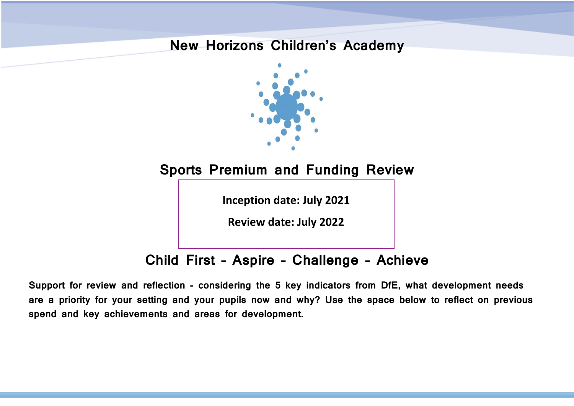## **New Horizons Children's Academy**



**Sports Premium and Funding Review**

**Inception date: July 2021**

**Review date: July 2022**

## **Child First – Aspire – Challenge – Achieve**

**Support for review and reflection - considering the 5 key indicators from DfE, what development needs are a priority for your setting and your pupils now and why? Use the space below to reflect on previous spend and key achievements and areas for development.**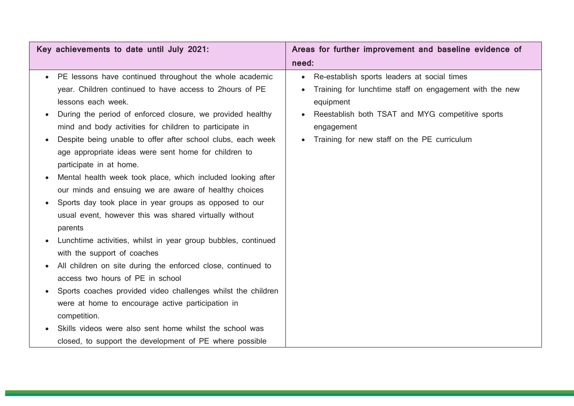| Key achievements to date until July 2021:                            | Areas for further improvement and baseline evidence of   |  |  |
|----------------------------------------------------------------------|----------------------------------------------------------|--|--|
|                                                                      | need:                                                    |  |  |
| PE lessons have continued throughout the whole academic<br>$\bullet$ | Re-establish sports leaders at social times<br>$\bullet$ |  |  |
| year. Children continued to have access to 2hours of PE              | Training for lunchtime staff on engagement with the new  |  |  |
| lessons each week.                                                   | equipment                                                |  |  |
| During the period of enforced closure, we provided healthy           | Reestablish both TSAT and MYG competitive sports         |  |  |
| mind and body activities for children to participate in              | engagement                                               |  |  |
| Despite being unable to offer after school clubs, each week          | Training for new staff on the PE curriculum              |  |  |
| age appropriate ideas were sent home for children to                 |                                                          |  |  |
| participate in at home.                                              |                                                          |  |  |
| Mental health week took place, which included looking after          |                                                          |  |  |
| our minds and ensuing we are aware of healthy choices                |                                                          |  |  |
| Sports day took place in year groups as opposed to our               |                                                          |  |  |
| usual event, however this was shared virtually without               |                                                          |  |  |
| parents                                                              |                                                          |  |  |
| Lunchtime activities, whilst in year group bubbles, continued        |                                                          |  |  |
| with the support of coaches                                          |                                                          |  |  |
| All children on site during the enforced close, continued to         |                                                          |  |  |
| access two hours of PE in school                                     |                                                          |  |  |
| Sports coaches provided video challenges whilst the children         |                                                          |  |  |
| were at home to encourage active participation in                    |                                                          |  |  |
| competition.                                                         |                                                          |  |  |
| Skills videos were also sent home whilst the school was              |                                                          |  |  |
| closed, to support the development of PE where possible              |                                                          |  |  |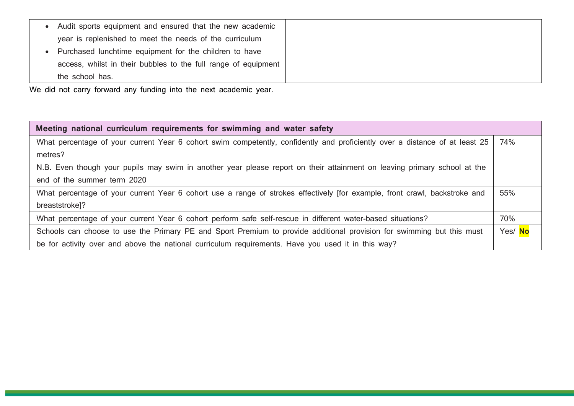| Audit sports equipment and ensured that the new academic       |
|----------------------------------------------------------------|
| year is replenished to meet the needs of the curriculum        |
| Purchased lunchtime equipment for the children to have         |
| access, whilst in their bubbles to the full range of equipment |
| the school has.                                                |

We did not carry forward any funding into the next academic year.

| Meeting national curriculum requirements for swimming and water safety                                                      |         |
|-----------------------------------------------------------------------------------------------------------------------------|---------|
| What percentage of your current Year 6 cohort swim competently, confidently and proficiently over a distance of at least 25 | 74%     |
| metres?                                                                                                                     |         |
| N.B. Even though your pupils may swim in another year please report on their attainment on leaving primary school at the    |         |
| end of the summer term 2020                                                                                                 |         |
| What percentage of your current Year 6 cohort use a range of strokes effectively [for example, front crawl, backstroke and  | 55%     |
| breaststroke]?                                                                                                              |         |
| What percentage of your current Year 6 cohort perform safe self-rescue in different water-based situations?                 | 70%     |
| Schools can choose to use the Primary PE and Sport Premium to provide additional provision for swimming but this must       | Yes/ No |
| be for activity over and above the national curriculum requirements. Have you used it in this way?                          |         |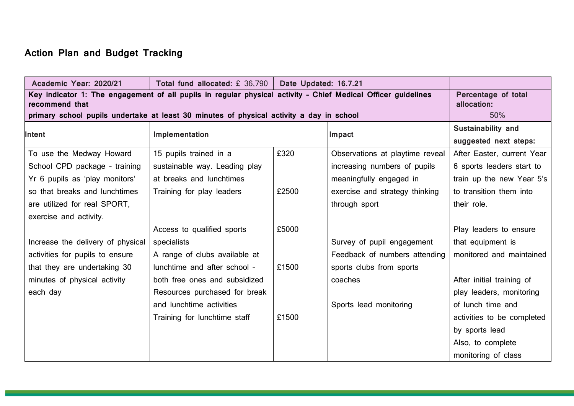## **Action Plan and Budget Tracking**

| Academic Year: 2020/21                                                                                                          | Total fund allocated: £ 36,790                                                           | Date Updated: 16.7.21 |                                 |                            |  |  |
|---------------------------------------------------------------------------------------------------------------------------------|------------------------------------------------------------------------------------------|-----------------------|---------------------------------|----------------------------|--|--|
| Key indicator 1: The engagement of all pupils in regular physical activity - Chief Medical Officer guidelines<br>recommend that | Percentage of total<br>allocation:                                                       |                       |                                 |                            |  |  |
|                                                                                                                                 | primary school pupils undertake at least 30 minutes of physical activity a day in school |                       |                                 |                            |  |  |
|                                                                                                                                 |                                                                                          |                       |                                 | Sustainability and         |  |  |
| Intent                                                                                                                          | Implementation                                                                           |                       | Impact                          | suggested next steps:      |  |  |
| To use the Medway Howard                                                                                                        | 15 pupils trained in a                                                                   | £320                  | Observations at playtime reveal | After Easter, current Year |  |  |
| School CPD package - training                                                                                                   | sustainable way. Leading play                                                            |                       | increasing numbers of pupils    | 6 sports leaders start to  |  |  |
| Yr 6 pupils as 'play monitors'                                                                                                  | at breaks and lunchtimes                                                                 |                       | meaningfully engaged in         | train up the new Year 5's  |  |  |
| so that breaks and lunchtimes                                                                                                   | Training for play leaders                                                                | £2500                 | exercise and strategy thinking  | to transition them into    |  |  |
| are utilized for real SPORT,                                                                                                    |                                                                                          |                       | through sport                   | their role.                |  |  |
| exercise and activity.                                                                                                          |                                                                                          |                       |                                 |                            |  |  |
|                                                                                                                                 | Access to qualified sports                                                               | £5000                 |                                 | Play leaders to ensure     |  |  |
| Increase the delivery of physical                                                                                               | specialists                                                                              |                       | Survey of pupil engagement      | that equipment is          |  |  |
| activities for pupils to ensure                                                                                                 | A range of clubs available at                                                            |                       | Feedback of numbers attending   | monitored and maintained   |  |  |
| that they are undertaking 30                                                                                                    | lunchtime and after school -                                                             | £1500                 | sports clubs from sports        |                            |  |  |
| minutes of physical activity                                                                                                    | both free ones and subsidized                                                            |                       | coaches                         | After initial training of  |  |  |
| each day                                                                                                                        | Resources purchased for break                                                            |                       |                                 | play leaders, monitoring   |  |  |
|                                                                                                                                 | and lunchtime activities                                                                 |                       | Sports lead monitoring          | of lunch time and          |  |  |
|                                                                                                                                 | Training for lunchtime staff                                                             | £1500                 |                                 | activities to be completed |  |  |
|                                                                                                                                 |                                                                                          |                       |                                 | by sports lead             |  |  |
|                                                                                                                                 |                                                                                          |                       |                                 | Also, to complete          |  |  |
|                                                                                                                                 |                                                                                          |                       |                                 | monitoring of class        |  |  |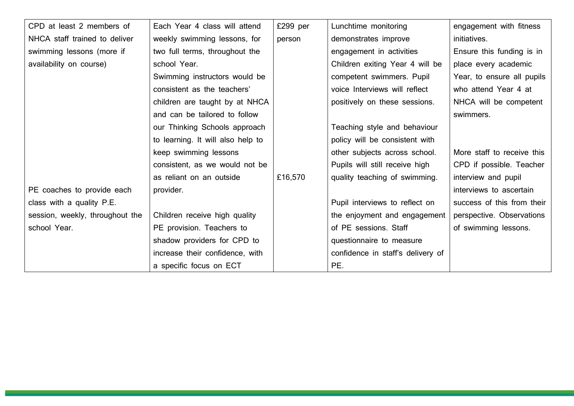| CPD at least 2 members of       | Each Year 4 class will attend     | £299 per | Lunchtime monitoring              | engagement with fitness    |
|---------------------------------|-----------------------------------|----------|-----------------------------------|----------------------------|
| NHCA staff trained to deliver   | weekly swimming lessons, for      | person   | demonstrates improve              | initiatives.               |
| swimming lessons (more if       | two full terms, throughout the    |          | engagement in activities          | Ensure this funding is in  |
| availability on course)         | school Year.                      |          | Children exiting Year 4 will be   | place every academic       |
|                                 | Swimming instructors would be     |          | competent swimmers. Pupil         | Year, to ensure all pupils |
|                                 | consistent as the teachers'       |          | voice Interviews will reflect     | who attend Year 4 at       |
|                                 | children are taught by at NHCA    |          | positively on these sessions.     | NHCA will be competent     |
|                                 | and can be tailored to follow     |          |                                   | swimmers.                  |
|                                 | our Thinking Schools approach     |          | Teaching style and behaviour      |                            |
|                                 | to learning. It will also help to |          | policy will be consistent with    |                            |
|                                 | keep swimming lessons             |          | other subjects across school.     | More staff to receive this |
|                                 | consistent, as we would not be    |          | Pupils will still receive high    | CPD if possible. Teacher   |
|                                 | as reliant on an outside          | £16,570  | quality teaching of swimming.     | interview and pupil        |
| PE coaches to provide each      | provider.                         |          |                                   | interviews to ascertain    |
| class with a quality P.E.       |                                   |          | Pupil interviews to reflect on    | success of this from their |
| session, weekly, throughout the | Children receive high quality     |          | the enjoyment and engagement      | perspective. Observations  |
| school Year.                    | PE provision. Teachers to         |          | of PE sessions. Staff             | of swimming lessons.       |
|                                 | shadow providers for CPD to       |          | questionnaire to measure          |                            |
|                                 | increase their confidence, with   |          | confidence in staff's delivery of |                            |
|                                 | a specific focus on ECT           |          | PE.                               |                            |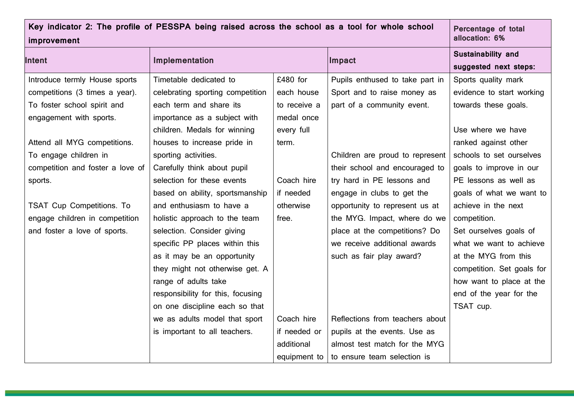| Key indicator 2: The profile of PESSPA being raised across the school as a tool for whole school<br>improvement | Percentage of total<br>allocation: 6% |              |                                 |                            |
|-----------------------------------------------------------------------------------------------------------------|---------------------------------------|--------------|---------------------------------|----------------------------|
| <b>Intent</b>                                                                                                   | Implementation                        |              | Impact                          | Sustainability and         |
|                                                                                                                 |                                       |              |                                 | suggested next steps:      |
| Introduce termly House sports                                                                                   | Timetable dedicated to                | £480 for     | Pupils enthused to take part in | Sports quality mark        |
| competitions (3 times a year).                                                                                  | celebrating sporting competition      | each house   | Sport and to raise money as     | evidence to start working  |
| To foster school spirit and                                                                                     | each term and share its               | to receive a | part of a community event.      | towards these goals.       |
| engagement with sports.                                                                                         | importance as a subject with          | medal once   |                                 |                            |
|                                                                                                                 | children. Medals for winning          | every full   |                                 | Use where we have          |
| Attend all MYG competitions.                                                                                    | houses to increase pride in           | term.        |                                 | ranked against other       |
| To engage children in                                                                                           | sporting activities.                  |              | Children are proud to represent | schools to set ourselves   |
| competition and foster a love of                                                                                | Carefully think about pupil           |              | their school and encouraged to  | goals to improve in our    |
| sports.                                                                                                         | selection for these events            | Coach hire   | try hard in PE lessons and      | PE lessons as well as      |
|                                                                                                                 | based on ability, sportsmanship       | if needed    | engage in clubs to get the      | goals of what we want to   |
| <b>TSAT Cup Competitions. To</b>                                                                                | and enthusiasm to have a              | otherwise    | opportunity to represent us at  | achieve in the next        |
| engage children in competition                                                                                  | holistic approach to the team         | free.        | the MYG. Impact, where do we    | competition.               |
| and foster a love of sports.                                                                                    | selection. Consider giving            |              | place at the competitions? Do   | Set ourselves goals of     |
|                                                                                                                 | specific PP places within this        |              | we receive additional awards    | what we want to achieve    |
|                                                                                                                 | as it may be an opportunity           |              | such as fair play award?        | at the MYG from this       |
|                                                                                                                 | they might not otherwise get. A       |              |                                 | competition. Set goals for |
|                                                                                                                 | range of adults take                  |              |                                 | how want to place at the   |
|                                                                                                                 | responsibility for this, focusing     |              |                                 | end of the year for the    |
|                                                                                                                 | on one discipline each so that        |              |                                 | TSAT cup.                  |
|                                                                                                                 | we as adults model that sport         | Coach hire   | Reflections from teachers about |                            |
|                                                                                                                 | is important to all teachers.         | if needed or | pupils at the events. Use as    |                            |
|                                                                                                                 |                                       | additional   | almost test match for the MYG   |                            |
|                                                                                                                 |                                       | equipment to | to ensure team selection is     |                            |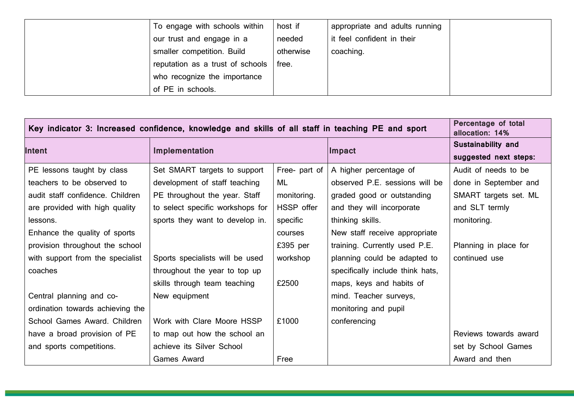| To engage with schools within    | host if   | appropriate and adults running |  |
|----------------------------------|-----------|--------------------------------|--|
| our trust and engage in a        | needed    | it feel confident in their     |  |
| smaller competition. Build       | otherwise | coaching.                      |  |
| reputation as a trust of schools | free.     |                                |  |
| who recognize the importance     |           |                                |  |
| of PE in schools.                |           |                                |  |

| Key indicator 3: Increased confidence, knowledge and skills of all staff in teaching PE and sport | Percentage of total<br>allocation: 14% |                   |                                  |                       |
|---------------------------------------------------------------------------------------------------|----------------------------------------|-------------------|----------------------------------|-----------------------|
| Intent                                                                                            |                                        |                   | Impact                           | Sustainability and    |
|                                                                                                   | Implementation                         |                   |                                  | suggested next steps: |
| PE lessons taught by class                                                                        | Set SMART targets to support           | Free- part of $ $ | A higher percentage of           | Audit of needs to be  |
| teachers to be observed to                                                                        | development of staff teaching          | ML                | observed P.E. sessions will be   | done in September and |
| audit staff confidence. Children                                                                  | PE throughout the year. Staff          | monitoring.       | graded good or outstanding       | SMART targets set. ML |
| are provided with high quality                                                                    | to select specific workshops for       | HSSP offer        | and they will incorporate        | and SLT termly        |
| lessons.                                                                                          | sports they want to develop in.        | specific          | thinking skills.                 | monitoring.           |
| Enhance the quality of sports                                                                     |                                        | courses           | New staff receive appropriate    |                       |
| provision throughout the school                                                                   |                                        | £395 per          | training. Currently used P.E.    | Planning in place for |
| with support from the specialist                                                                  | Sports specialists will be used        | workshop          | planning could be adapted to     | continued use         |
| coaches                                                                                           | throughout the year to top up          |                   | specifically include think hats, |                       |
|                                                                                                   | skills through team teaching           | £2500             | maps, keys and habits of         |                       |
| Central planning and co-                                                                          | New equipment                          |                   | mind. Teacher surveys,           |                       |
| ordination towards achieving the                                                                  |                                        |                   | monitoring and pupil             |                       |
| School Games Award. Children                                                                      | Work with Clare Moore HSSP             | £1000             | conferencing                     |                       |
| have a broad provision of PE                                                                      | to map out how the school an           |                   |                                  | Reviews towards award |
| and sports competitions.                                                                          | achieve its Silver School              |                   |                                  | set by School Games   |
|                                                                                                   | Games Award                            | Free              |                                  | Award and then        |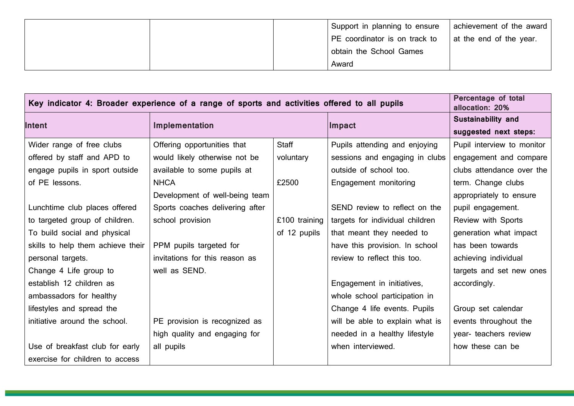|  | Support in planning to ensure | achievement of the award |
|--|-------------------------------|--------------------------|
|  | PE coordinator is on track to | at the end of the year.  |
|  | obtain the School Games       |                          |
|  | Award                         |                          |

| Key indicator 4: Broader experience of a range of sports and activities offered to all pupils | Percentage of total<br>allocation: 20% |               |                                 |                            |
|-----------------------------------------------------------------------------------------------|----------------------------------------|---------------|---------------------------------|----------------------------|
| Intent                                                                                        | Implementation                         |               | Impact                          | Sustainability and         |
|                                                                                               |                                        |               |                                 | suggested next steps:      |
| Wider range of free clubs                                                                     | Offering opportunities that            | Staff         | Pupils attending and enjoying   | Pupil interview to monitor |
| offered by staff and APD to                                                                   | would likely otherwise not be          | voluntary     | sessions and engaging in clubs  | engagement and compare     |
| engage pupils in sport outside                                                                | available to some pupils at            |               | outside of school too.          | clubs attendance over the  |
| of PE lessons.                                                                                | <b>NHCA</b>                            | £2500         | Engagement monitoring           | term. Change clubs         |
|                                                                                               | Development of well-being team         |               |                                 | appropriately to ensure    |
| Lunchtime club places offered                                                                 | Sports coaches delivering after        |               | SEND review to reflect on the   | pupil engagement.          |
| to targeted group of children.                                                                | school provision                       | £100 training | targets for individual children | Review with Sports         |
| To build social and physical                                                                  |                                        | of 12 pupils  | that meant they needed to       | generation what impact     |
| skills to help them achieve their                                                             | PPM pupils targeted for                |               | have this provision. In school  | has been towards           |
| personal targets.                                                                             | invitations for this reason as         |               | review to reflect this too.     | achieving individual       |
| Change 4 Life group to                                                                        | well as SEND.                          |               |                                 | targets and set new ones   |
| establish 12 children as                                                                      |                                        |               | Engagement in initiatives,      | accordingly.               |
| ambassadors for healthy                                                                       |                                        |               | whole school participation in   |                            |
| lifestyles and spread the                                                                     |                                        |               | Change 4 life events. Pupils    | Group set calendar         |
| initiative around the school.                                                                 | PE provision is recognized as          |               | will be able to explain what is | events throughout the      |
|                                                                                               | high quality and engaging for          |               | needed in a healthy lifestyle   | year- teachers review      |
| Use of breakfast club for early                                                               | all pupils                             |               | when interviewed.               | how these can be           |
| exercise for children to access                                                               |                                        |               |                                 |                            |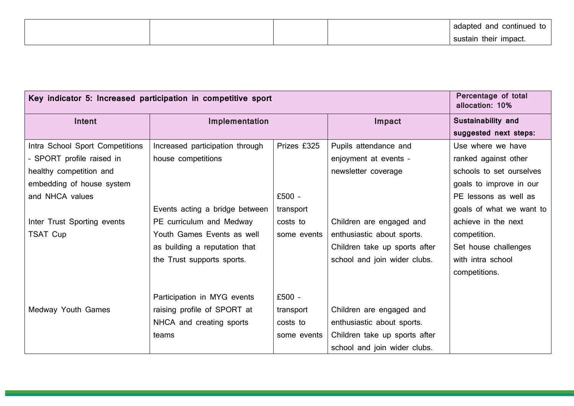|  |  | adapted and<br>continued<br>. .<br>ιU |
|--|--|---------------------------------------|
|  |  | their impact.<br>sustain              |

| Key indicator 5: Increased participation in competitive sport | Percentage of total<br>allocation: 10% |             |                               |                          |
|---------------------------------------------------------------|----------------------------------------|-------------|-------------------------------|--------------------------|
| Intent                                                        | Implementation                         |             | Impact                        | Sustainability and       |
|                                                               |                                        |             |                               | suggested next steps:    |
| Intra School Sport Competitions                               | Increased participation through        | Prizes £325 | Pupils attendance and         | Use where we have        |
| - SPORT profile raised in                                     | house competitions                     |             | enjoyment at events -         | ranked against other     |
| healthy competition and                                       |                                        |             | newsletter coverage           | schools to set ourselves |
| embedding of house system                                     |                                        |             |                               | goals to improve in our  |
| and NHCA values                                               |                                        | $£500 -$    |                               | PE lessons as well as    |
|                                                               | Events acting a bridge between         | transport   |                               | goals of what we want to |
| Inter Trust Sporting events                                   | PE curriculum and Medway               | costs to    | Children are engaged and      | achieve in the next      |
| TSAT Cup                                                      | Youth Games Events as well             | some events | enthusiastic about sports.    | competition.             |
|                                                               | as building a reputation that          |             | Children take up sports after | Set house challenges     |
|                                                               | the Trust supports sports.             |             | school and join wider clubs.  | with intra school        |
|                                                               |                                        |             |                               | competitions.            |
|                                                               |                                        |             |                               |                          |
|                                                               | Participation in MYG events            | $£500 -$    |                               |                          |
| Medway Youth Games                                            | raising profile of SPORT at            | transport   | Children are engaged and      |                          |
|                                                               | NHCA and creating sports               | costs to    | enthusiastic about sports.    |                          |
|                                                               | teams                                  | some events | Children take up sports after |                          |
|                                                               |                                        |             | school and join wider clubs.  |                          |